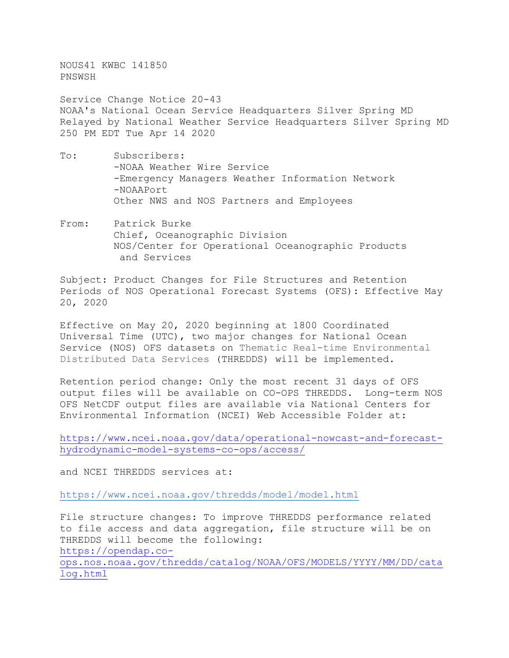NOUS41 KWBC 141850 PNSWSH

Service Change Notice 20-43 NOAA's National Ocean Service Headquarters Silver Spring MD Relayed by National Weather Service Headquarters Silver Spring MD 250 PM EDT Tue Apr 14 2020

- To: Subscribers: -NOAA Weather Wire Service -Emergency Managers Weather Information Network -NOAAPort Other NWS and NOS Partners and Employees
- From: Patrick Burke Chief, Oceanographic Division NOS/Center for Operational Oceanographic Products and Services

Subject: Product Changes for File Structures and Retention Periods of NOS Operational Forecast Systems (OFS): Effective May 20, 2020

Effective on May 20, 2020 beginning at 1800 Coordinated Universal Time (UTC), two major changes for National Ocean Service (NOS) OFS datasets on Thematic Real-time Environmental Distributed Data Services (THREDDS) will be implemented.

Retention period change: Only the most recent 31 days of OFS output files will be available on CO-OPS THREDDS. Long-term NOS OFS NetCDF output files are available via National Centers for Environmental Information (NCEI) Web Accessible Folder at:

[https://www.ncei.noaa.gov/data/operational-nowcast-and-forecast](https://www.ncei.noaa.gov/data/operational-nowcast-and-forecast-hydrodynamic-model-systems-co-ops/access/)[hydrodynamic-model-systems-co-ops/access/](https://www.ncei.noaa.gov/data/operational-nowcast-and-forecast-hydrodynamic-model-systems-co-ops/access/)

and NCEI THREDDS services at:

<https://www.ncei.noaa.gov/thredds/model/model.html>

File structure changes: To improve THREDDS performance related to file access and data aggregation, file structure will be on THREDDS will become the following: [https://opendap.co](https://opendap.co-ops.nos.noaa.gov/thredds/catalog/NOAA/OFS/MODELS/YYYY/MM/DD/catalog.html)[ops.nos.noaa.gov/thredds/catalog/NOAA/OFS/MODELS/YYYY/MM/DD/cata](https://opendap.co-ops.nos.noaa.gov/thredds/catalog/NOAA/OFS/MODELS/YYYY/MM/DD/catalog.html) [log.html](https://opendap.co-ops.nos.noaa.gov/thredds/catalog/NOAA/OFS/MODELS/YYYY/MM/DD/catalog.html)